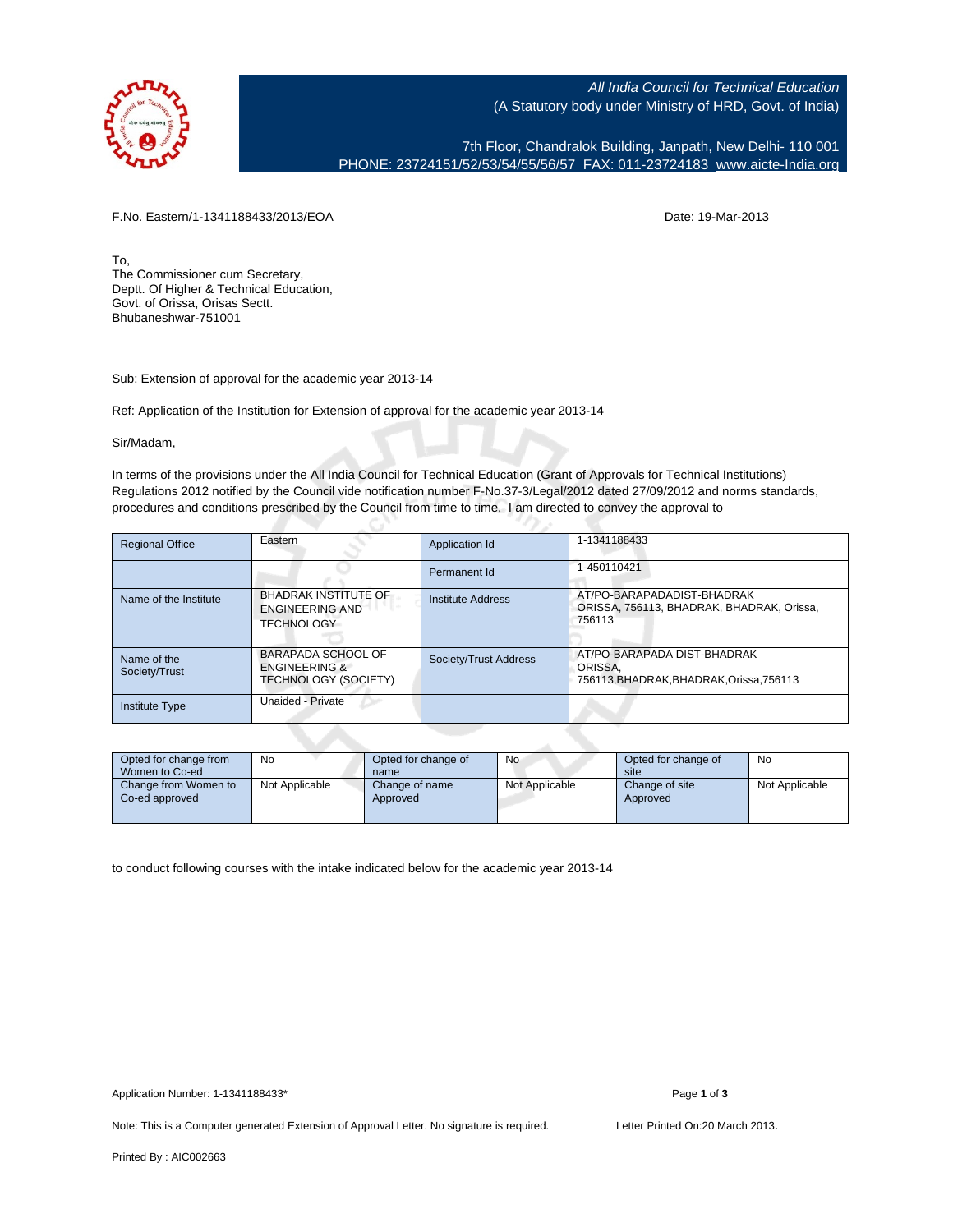

All India Council for Technical Education (A Statutory body under Ministry of HRD, Govt. of India)

7th Floor, Chandralok Building, Janpath, New Delhi- 110 001 PHONE: 23724151/52/53/54/55/56/57 FAX: 011-23724183 [www.aicte-India.org](http://www.aicte-India.org)

F.No. Eastern/1-1341188433/2013/EOA Date: 19-Mar-2013

To, The Commissioner cum Secretary, Deptt. Of Higher & Technical Education, Govt. of Orissa, Orisas Sectt. Bhubaneshwar-751001

Sub: Extension of approval for the academic year 2013-14

Ref: Application of the Institution for Extension of approval for the academic year 2013-14

Sir/Madam,

In terms of the provisions under the All India Council for Technical Education (Grant of Approvals for Technical Institutions) Regulations 2012 notified by the Council vide notification number F-No.37-3/Legal/2012 dated 27/09/2012 and norms standards, procedures and conditions prescribed by the Council from time to time, I am directed to convey the approval to

| <b>Regional Office</b>       | Eastern                                                                       | Application Id        | 1-1341188433                                                                       |  |  |  |
|------------------------------|-------------------------------------------------------------------------------|-----------------------|------------------------------------------------------------------------------------|--|--|--|
|                              |                                                                               | Permanent Id          | 1-450110421                                                                        |  |  |  |
| Name of the Institute        | BHADRAK INSTITUTE OF<br>ENGINEERING AND<br><b>TECHNOLOGY</b>                  | Institute Address     | AT/PO-BARAPADADIST-BHADRAK<br>ORISSA, 756113, BHADRAK, BHADRAK, Orissa,<br>756113  |  |  |  |
| Name of the<br>Society/Trust | BARAPADA SCHOOL OF<br><b>ENGINEERING &amp;</b><br><b>TECHNOLOGY (SOCIETY)</b> | Society/Trust Address | AT/PO-BARAPADA DIST-BHADRAK<br>ORISSA.<br>756113, BHADRAK, BHADRAK, Orissa, 756113 |  |  |  |
| <b>Institute Type</b>        | Unaided - Private                                                             |                       |                                                                                    |  |  |  |

| Opted for change from<br>Women to Co-ed | No             | Opted for change of<br>name | <b>No</b>      | Opted for change of<br>site | No             |
|-----------------------------------------|----------------|-----------------------------|----------------|-----------------------------|----------------|
| Change from Women to<br>Co-ed approved  | Not Applicable | Change of name<br>Approved  | Not Applicable | Change of site<br>Approved  | Not Applicable |
|                                         |                |                             |                |                             |                |

to conduct following courses with the intake indicated below for the academic year 2013-14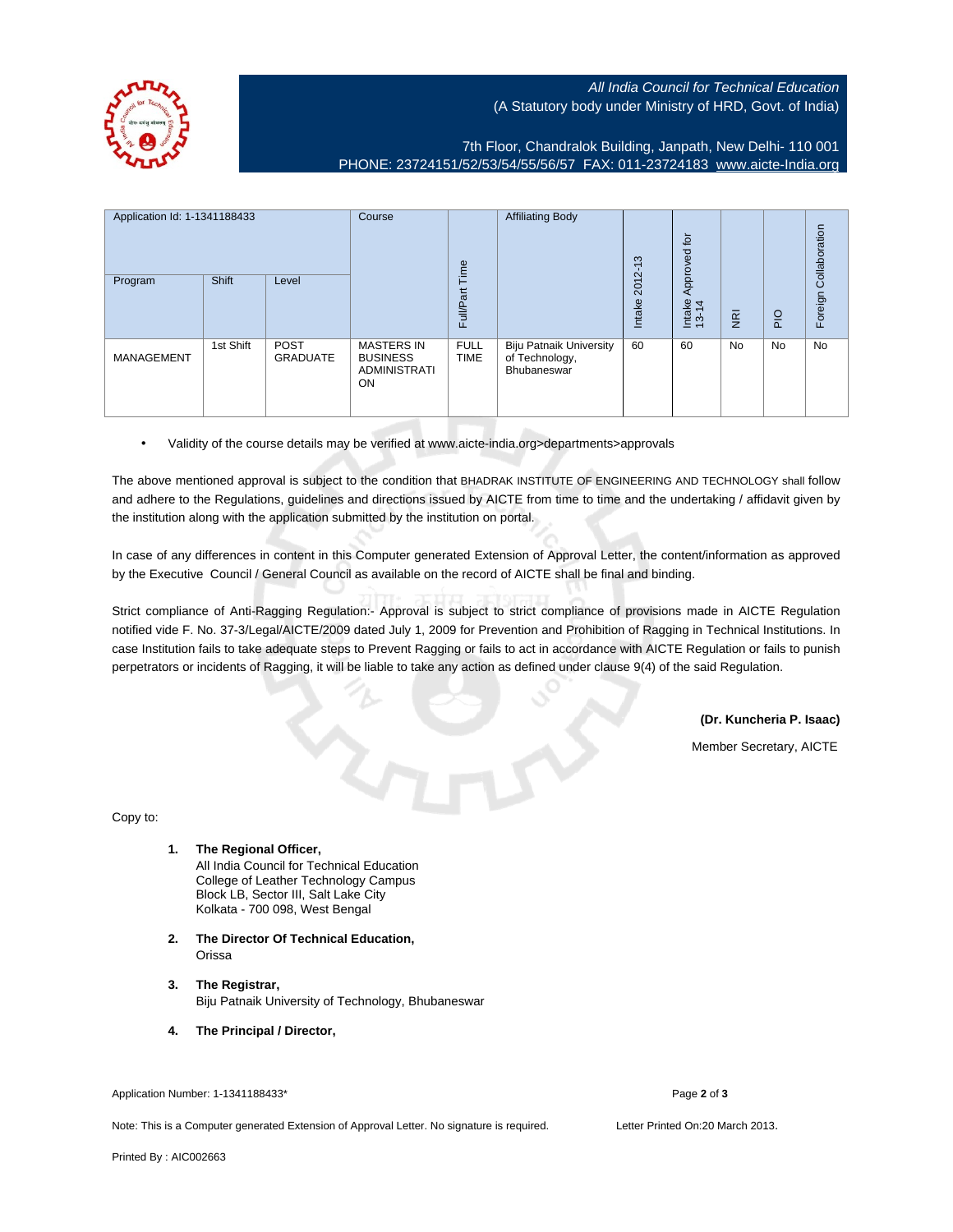

## All India Council for Technical Education (A Statutory body under Ministry of HRD, Govt. of India)

7th Floor, Chandralok Building, Janpath, New Delhi- 110 001 PHONE: 23724151/52/53/54/55/56/57 FAX: 011-23724183 [www.aicte-India.org](http://www.aicte-India.org)

| Application Id: 1-1341188433 |           | Course<br>Time                 | <b>Affiliating Body</b>                                                  | က<br>$\overline{\phantom{0}}$ | $\overline{p}$<br>Approved                                      |                    |                 | Collaboration  |                |           |
|------------------------------|-----------|--------------------------------|--------------------------------------------------------------------------|-------------------------------|-----------------------------------------------------------------|--------------------|-----------------|----------------|----------------|-----------|
| Program                      | Shift     | Level                          |                                                                          | Full/Part                     |                                                                 | $2012 -$<br>Intake | Intake<br>13-14 | $\overline{g}$ | $\overline{P}$ | Foreign ( |
| <b>MANAGEMENT</b>            | 1st Shift | <b>POST</b><br><b>GRADUATE</b> | <b>MASTERS IN</b><br><b>BUSINESS</b><br><b>ADMINISTRATI</b><br><b>ON</b> | <b>FULL</b><br><b>TIME</b>    | <b>Biju Patnaik University</b><br>of Technology,<br>Bhubaneswar | 60                 | 60              | <b>No</b>      | No             | No        |

• Validity of the course details may be verified at www.aicte-india.org>departments>approvals

The above mentioned approval is subject to the condition that BHADRAK INSTITUTE OF ENGINEERING AND TECHNOLOGY shall follow and adhere to the Regulations, guidelines and directions issued by AICTE from time to time and the undertaking / affidavit given by the institution along with the application submitted by the institution on portal.

In case of any differences in content in this Computer generated Extension of Approval Letter, the content/information as approved by the Executive Council / General Council as available on the record of AICTE shall be final and binding.

Strict compliance of Anti-Ragging Regulation:- Approval is subject to strict compliance of provisions made in AICTE Regulation notified vide F. No. 37-3/Legal/AICTE/2009 dated July 1, 2009 for Prevention and Prohibition of Ragging in Technical Institutions. In case Institution fails to take adequate steps to Prevent Ragging or fails to act in accordance with AICTE Regulation or fails to punish perpetrators or incidents of Ragging, it will be liable to take any action as defined under clause 9(4) of the said Regulation.

**(Dr. Kuncheria P. Isaac)**

Member Secretary, AICTE

Copy to:

**1. The Regional Officer,**

All India Council for Technical Education College of Leather Technology Campus Block LB, Sector III, Salt Lake City Kolkata - 700 098, West Bengal

- **2. The Director Of Technical Education,** Orissa
- **3. The Registrar,** Biju Patnaik University of Technology, Bhubaneswar
- **4. The Principal / Director,**

Application Number: 1-1341188433\* Page **2** of **3**

Note: This is a Computer generated Extension of Approval Letter. No signature is required. Letter Printed On:20 March 2013.